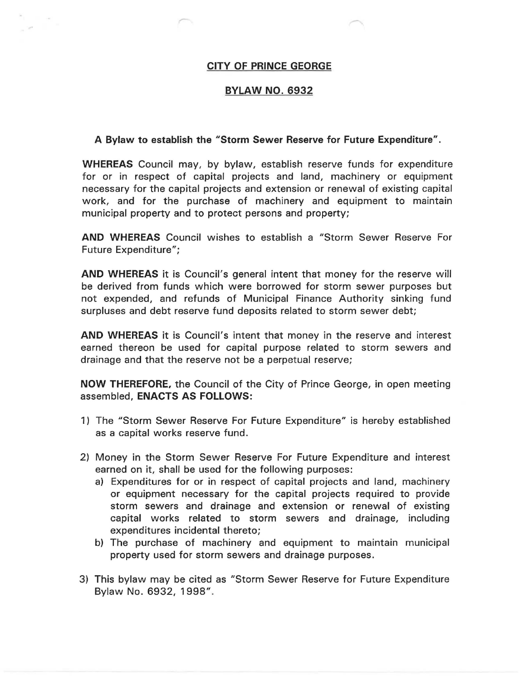## **CITY OF PRINCE GEORGE**

## **BYLAW NO. 6932**

## **A Bylaw to establish the "Storm Sewer Reserve for Future Expenditure".**

**WHEREAS** Council may, by bylaw, establish reserve funds for expenditure for or in respect of capital projects and land, machinery or equipment necessary for the capital projects and extension or renewal of existing capital work, and for the purchase of machinery and equipment to maintain municipal property and to protect persons and property;

**AND WHEREAS** Council wishes to establish a "Storm Sewer Reserve For Future Expenditure";

**AND WHEREAS** it is Council's general intent that money for the reserve will be derived from funds which were borrowed for storm sewer purposes but not expended, and refunds of Municipal Finance Authority sinking fund surpluses and debt reserve fund deposits related to storm sewer debt;

**AND WHEREAS** it is Council's intent that money in the reserve and interest earned thereon be used for capital purpose related to storm sewers and drainage and that the reserve not be a perpetual reserve;

**NOW THEREFORE,** the Council of the City of Prince George, in open meeting assembled, **ENACTS AS FOLLOWS:** 

- 1) The "Storm Sewer Reserve For Future Expenditure" is hereby established as a capital works reserve fund.
- 2) Money in the Storm Sewer Reserve For Future Expenditure and interest earned on it, shall be used for the following purposes:
	- a) Expenditures for or in respect of capital projects and land, machinery or equipment necessary for the capital projects required to provide storm sewers and drainage and extension or renewal of existing capital works related to storm sewers and drainage, including expenditures incidental thereto;
	- b) The purchase of machinery and equipment to maintain municipal property used for storm sewers and drainage purposes.
- 3) This bylaw may be cited as "Storm Sewer Reserve for Future Expenditure Bylaw No. 6932, 1998".